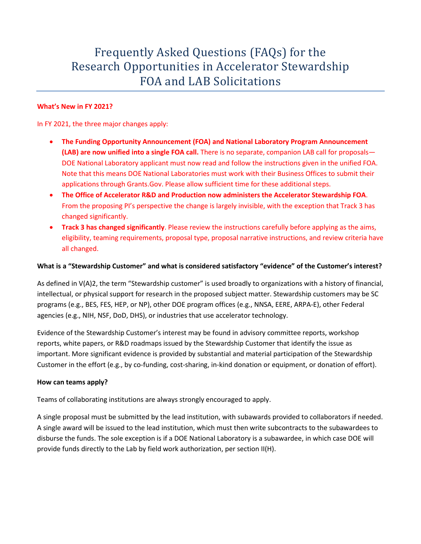# Frequently Asked Questions (FAQs) for the Research Opportunities in Accelerator Stewardship FOA and LAB Solicitations

## **What's New in FY 2021?**

In FY 2021, the three major changes apply:

- **The Funding Opportunity Announcement (FOA) and National Laboratory Program Announcement (LAB) are now unified into a single FOA call.** There is no separate, companion LAB call for proposals— DOE National Laboratory applicant must now read and follow the instructions given in the unified FOA. Note that this means DOE National Laboratories must work with their Business Offices to submit their applications through Grants.Gov. Please allow sufficient time for these additional steps.
- **The Office of Accelerator R&D and Production now administers the Accelerator Stewardship FOA**. From the proposing PI's perspective the change is largely invisible, with the exception that Track 3 has changed significantly.
- **Track 3 has changed significantly**. Please review the instructions carefully before applying as the aims, eligibility, teaming requirements, proposal type, proposal narrative instructions, and review criteria have all changed.

#### **What is a "Stewardship Customer" and what is considered satisfactory "evidence" of the Customer's interest?**

As defined in V(A)2, the term "Stewardship customer" is used broadly to organizations with a history of financial, intellectual, or physical support for research in the proposed subject matter. Stewardship customers may be SC programs (e.g., BES, FES, HEP, or NP), other DOE program offices (e.g., NNSA, EERE, ARPA-E), other Federal agencies (e.g., NIH, NSF, DoD, DHS), or industries that use accelerator technology.

Evidence of the Stewardship Customer's interest may be found in advisory committee reports, workshop reports, white papers, or R&D roadmaps issued by the Stewardship Customer that identify the issue as important. More significant evidence is provided by substantial and material participation of the Stewardship Customer in the effort (e.g., by co-funding, cost-sharing, in-kind donation or equipment, or donation of effort).

#### **How can teams apply?**

Teams of collaborating institutions are always strongly encouraged to apply.

A single proposal must be submitted by the lead institution, with subawards provided to collaborators if needed. A single award will be issued to the lead institution, which must then write subcontracts to the subawardees to disburse the funds. The sole exception is if a DOE National Laboratory is a subawardee, in which case DOE will provide funds directly to the Lab by field work authorization, per section II(H).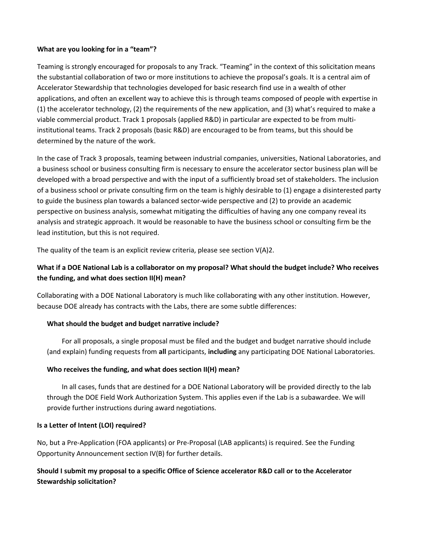#### **What are you looking for in a "team"?**

Teaming is strongly encouraged for proposals to any Track. "Teaming" in the context of this solicitation means the substantial collaboration of two or more institutions to achieve the proposal's goals. It is a central aim of Accelerator Stewardship that technologies developed for basic research find use in a wealth of other applications, and often an excellent way to achieve this is through teams composed of people with expertise in (1) the accelerator technology, (2) the requirements of the new application, and (3) what's required to make a viable commercial product. Track 1 proposals (applied R&D) in particular are expected to be from multiinstitutional teams. Track 2 proposals (basic R&D) are encouraged to be from teams, but this should be determined by the nature of the work.

In the case of Track 3 proposals, teaming between industrial companies, universities, National Laboratories, and a business school or business consulting firm is necessary to ensure the accelerator sector business plan will be developed with a broad perspective and with the input of a sufficiently broad set of stakeholders. The inclusion of a business school or private consulting firm on the team is highly desirable to (1) engage a disinterested party to guide the business plan towards a balanced sector-wide perspective and (2) to provide an academic perspective on business analysis, somewhat mitigating the difficulties of having any one company reveal its analysis and strategic approach. It would be reasonable to have the business school or consulting firm be the lead institution, but this is not required.

The quality of the team is an explicit review criteria, please see section  $V(A)2$ .

## **What if a DOE National Lab is a collaborator on my proposal? What should the budget include? Who receives the funding, and what does section II(H) mean?**

Collaborating with a DOE National Laboratory is much like collaborating with any other institution. However, because DOE already has contracts with the Labs, there are some subtle differences:

#### **What should the budget and budget narrative include?**

For all proposals, a single proposal must be filed and the budget and budget narrative should include (and explain) funding requests from **all** participants, **including** any participating DOE National Laboratories.

#### **Who receives the funding, and what does section II(H) mean?**

In all cases, funds that are destined for a DOE National Laboratory will be provided directly to the lab through the DOE Field Work Authorization System. This applies even if the Lab is a subawardee. We will provide further instructions during award negotiations.

#### **Is a Letter of Intent (LOI) required?**

No, but a Pre-Application (FOA applicants) or Pre-Proposal (LAB applicants) is required. See the Funding Opportunity Announcement section IV(B) for further details.

## **Should I submit my proposal to a specific Office of Science accelerator R&D call or to the Accelerator Stewardship solicitation?**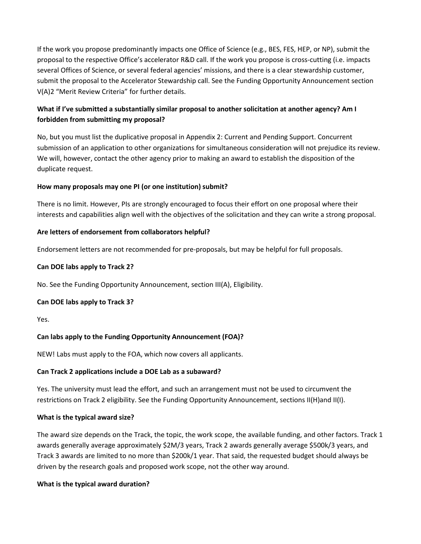If the work you propose predominantly impacts one Office of Science (e.g., BES, FES, HEP, or NP), submit the proposal to the respective Office's accelerator R&D call. If the work you propose is cross-cutting (i.e. impacts several Offices of Science, or several federal agencies' missions, and there is a clear stewardship customer, submit the proposal to the Accelerator Stewardship call. See the Funding Opportunity Announcement section V(A)2 "Merit Review Criteria" for further details.

# **What if I've submitted a substantially similar proposal to another solicitation at another agency? Am I forbidden from submitting my proposal?**

No, but you must list the duplicative proposal in Appendix 2: Current and Pending Support. Concurrent submission of an application to other organizations for simultaneous consideration will not prejudice its review. We will, however, contact the other agency prior to making an award to establish the disposition of the duplicate request.

## **How many proposals may one PI (or one institution) submit?**

There is no limit. However, PIs are strongly encouraged to focus their effort on one proposal where their interests and capabilities align well with the objectives of the solicitation and they can write a strong proposal.

#### **Are letters of endorsement from collaborators helpful?**

Endorsement letters are not recommended for pre-proposals, but may be helpful for full proposals.

#### **Can DOE labs apply to Track 2?**

No. See the Funding Opportunity Announcement, section III(A), Eligibility.

#### **Can DOE labs apply to Track 3?**

Yes.

## **Can labs apply to the Funding Opportunity Announcement (FOA)?**

NEW! Labs must apply to the FOA, which now covers all applicants.

#### **Can Track 2 applications include a DOE Lab as a subaward?**

Yes. The university must lead the effort, and such an arrangement must not be used to circumvent the restrictions on Track 2 eligibility. See the Funding Opportunity Announcement, sections II(H)and II(I).

#### **What is the typical award size?**

The award size depends on the Track, the topic, the work scope, the available funding, and other factors. Track 1 awards generally average approximately \$2M/3 years, Track 2 awards generally average \$500k/3 years, and Track 3 awards are limited to no more than \$200k/1 year. That said, the requested budget should always be driven by the research goals and proposed work scope, not the other way around.

#### **What is the typical award duration?**